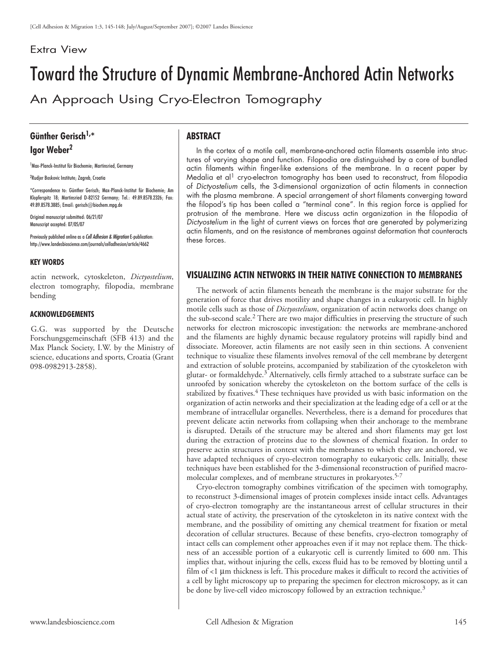## Extra View

# Toward the Structure of Dynamic Membrane-Anchored Actin Networks

An Approach Using Cryo-Electron Tomography

# **Günther Gerisch1,\* Igor Weber<sup>2</sup>**

<sup>1</sup> Max-Planck-Institut für Biochemie; Martinsried, Germany

<sup>2</sup>Rudjer Boskovic Institute; Zagreb, Croatia

\*Correspondence to: Günther Gerisch; Max-Planck-Institut für Biochemie; Am Klopferspitz 18; Martinsried D-82152 Germany; Tel.: 49.89.8578.2326; Fax: 49.89.8578.3885; Email: gerisch@biochem.mpg.de

Original manuscript submitted: 06/21/07 Manuscript accepted: 07/05/07

Previously published online as a *Cell Adhesion & Migration* E-publication: http://www.landesbioscience.com/journals/celladhesion/article/4662

#### **Key words**

actin network, cytoskeleton, *Dictyostelium*, electron tomography, filopodia, membrane bending

#### **Acknowledgements**

G.G. was supported by the Deutsche Forschungsgemeinschaft (SFB 413) and the Max Planck Society, I.W. by the Ministry of science, educations and sports, Croatia (Grant 098-0982913-2858).

#### **Abstract**

In the cortex of a motile cell, membrane-anchored actin filaments assemble into structures of varying shape and function. Filopodia are distinguished by a core of bundled actin filaments within finger-like extensions of the membrane. In a recent paper by Medalia et al<sup>1</sup> cryo-electron tomography has been used to reconstruct, from filopodia of *Dictyostelium* cells, the 3-dimensional organization of actin filaments in connection with the plasma membrane. A special arrangement of short filaments converging toward the filopod's tip has been called a "terminal cone". In this region force is applied for protrusion of the membrane. Here we discuss actin organization in the filopodia of *Dictyostelium* in the light of current views on forces that are generated by polymerizing actin filaments, and on the resistance of membranes against deformation that counteracts these forces.

### **Visualizing Actin Networks in Their Native Connection to Membranes**

The network of actin filaments beneath the membrane is the major substrate for the generation of force that drives motility and shape changes in a eukaryotic cell. In highly motile cells such as those of *Dictyostelium*, organization of actin networks does change on the sub-second scale.<sup>2</sup> There are two major difficulties in preserving the structure of such networks for electron microscopic investigation: the networks are membrane-anchored and the filaments are highly dynamic because regulatory proteins will rapidly bind and dissociate. Moreover, actin filaments are not easily seen in thin sections. A convenient technique to visualize these filaments involves removal of the cell membrane by detergent and extraction of soluble proteins, accompanied by stabilization of the cytoskeleton with glutar- or formaldehyde.<sup>3</sup> Alternatively, cells firmly attached to a substrate surface can be unroofed by sonication whereby the cytoskeleton on the bottom surface of the cells is stabilized by fixatives. $4$  These techniques have provided us with basic information on the organization of actin networks and their specialization at the leading edge of a cell or at the membrane of intracellular organelles. Nevertheless, there is a demand for procedures that prevent delicate actin networks from collapsing when their anchorage to the membrane is disrupted. Details of the structure may be altered and short filaments may get lost during the extraction of proteins due to the slowness of chemical fixation. In order to preserve actin structures in context with the membranes to which they are anchored, we have adapted techniques of cryo-electron tomography to eukaryotic cells. Initially, these techniques have been established for the 3-dimensional reconstruction of purified macromolecular complexes, and of membrane structures in prokaryotes.<sup>5-7</sup>

Cryo-electron tomography combines vitrification of the specimen with tomography, to reconstruct 3-dimensional images of protein complexes inside intact cells. Advantages of cryo-electron tomography are the instantaneous arrest of cellular structures in their actual state of activity, the preservation of the cytoskeleton in its native context with the membrane, and the possibility of omitting any chemical treatment for fixation or metal decoration of cellular structures. Because of these benefits, cryo-electron tomography of intact cells can complement other approaches even if it may not replace them. The thickness of an accessible portion of a eukaryotic cell is currently limited to 600 nm. This implies that, without injuring the cells, excess fluid has to be removed by blotting until a film of  $\langle 1 \rangle$  µm thickness is left. This procedure makes it difficult to record the activities of a cell by light microscopy up to preparing the specimen for electron microscopy, as it can be done by live-cell video microscopy followed by an extraction technique.<sup>3</sup>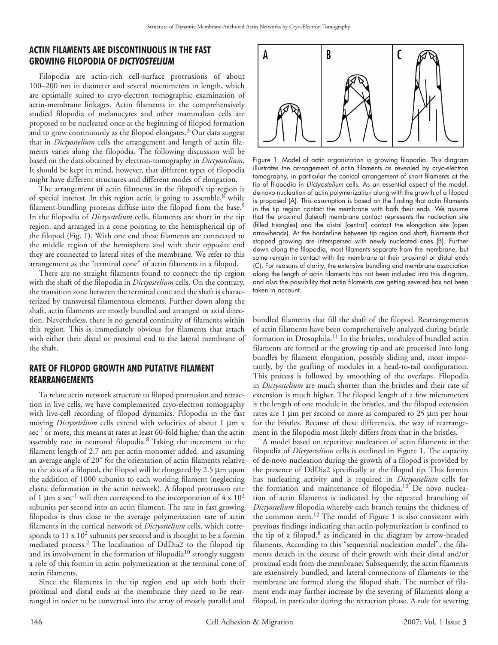## **Actin Filaments are Discontinuous in the Fast Growing Filopodia of** *Dictyostelium*

Filopodia are actin-rich cell-surface protrusions of about 100–200 nm in diameter and several micrometers in length, which are optimally suited to cryo-electron tomographic examination of actin-membrane linkages. Actin filaments in the comprehensively studied filopodia of melanocytes and other mammalian cells are proposed to be nucleated once at the beginning of filopod formation and to grow continuously as the filopod elongates.<sup>3</sup> Our data suggest that in *Dictyostelium* cells the arrangement and length of actin filaments varies along the filopodia. The following discussion will be based on the data obtained by electron-tomography in *Dictyostelium*. It should be kept in mind, however, that different types of filopodia might have different structures and different modes of elongation.

The arrangement of actin filaments in the filopod's tip region is of special interest. In this region actin is going to assemble, $8$  while filament-bundling proteins diffuse into the filopod from the base.<sup>9</sup> In the filopodia of *Dictyostelium* cells, filaments are short in the tip region, and arranged in a cone pointing to the hemispherical tip of the filopod (Fig. 1). With one end these filaments are connected to the middle region of the hemisphere and with their opposite end they are connected to lateral sites of the membrane. We refer to this arrangement as the "terminal cone" of actin filaments in a filopod.

There are no straight filaments found to connect the tip region with the shaft of the filopodia in *Dictyostelium* cells. On the contrary, the transition zone between the terminal cone and the shaft is characterized by transversal filamentous elements. Further down along the shaft, actin filaments are mostly bundled and arranged in axial direction. Nevertheless, there is no general continuity of filaments within this region. This is immediately obvious for filaments that attach with either their distal or proximal end to the lateral membrane of the shaft.

## **Rate of Filopod Growth and Putative Filament Rearrangements**

To relate actin network structure to filopod protrusion and retraction in live cells, we have complemented cryo-electron tomography with live-cell recording of filopod dynamics. Filopodia in the fast moving *Dictyostelium* cells extend with velocities of about 1 µm x  $sec<sup>-1</sup>$  or more, this means at rates at least 60-fold higher than the actin assembly rate in neuronal filopodia.8 Taking the increment in the filament length of 2.7 nm per actin monomer added, and assuming an average angle of 20˚ for the orientation of actin filaments relative to the axis of a filopod, the filopod will be elongated by  $2.5 \mu m$  upon the addition of 1000 subunits to each working filament (neglecting elastic deformation in the actin network). A filopod protrusion rate of 1  $\mu$ m x sec<sup>-1</sup> will then correspond to the incorporation of 4 x 10<sup>2</sup> subunits per second into an actin filament. The rate in fast growing filopodia is thus close to the average polymerization rate of actin filaments in the cortical network of *Dictyostelium* cells, which corresponds to  $11 \times 10^2$  subunits per second and is thought to be a formin mediated process.2 The localization of DdDia2 to the filopod tip and its involvement in the formation of filopodia<sup>10</sup> strongly suggests a role of this formin in actin polymerization at the terminal cone of actin filaments.

Since the filaments in the tip region end up with both their proximal and distal ends at the membrane they need to be rearranged in order to be converted into the array of mostly parallel and



Figure 1. Model of actin organization in growing filopodia. This diagram illustrates the arrangement of actin filaments as revealed by cryo-electron tomography, in particular the conical arrangement of short filaments at the tip of filopodia in *Dictyostelium* cells. As an essential aspect of the model, de-novo nucleation of actin polymerization along with the growth of a filopod is proposed (A). This assumption is based on the finding that actin filaments in the tip region contact the membrane with both their ends. We assume that the proximal (lateral) membrane contact represents the nucleation site (filled triangles) and the distal (central) contact the elongation site (open arrowheads). At the borderline between tip region and shaft, filaments that stopped growing are interspersed with newly nucleated ones (B). Further down along the filopodia, most filaments separate from the membrane, but some remain in contact with the membrane at their proximal or distal ends (C). For reasons of clarity, the extensive bundling and membrane association along the length of actin filaments has not been included into this diagram, and also the possibility that actin filaments are getting severed has not been taken in account.

bundled filaments that fill the shaft of the filopod. Rearrangements of actin filaments have been comprehensively analyzed during bristle formation in Drosophila.<sup>11</sup> In the bristles, modules of bundled actin filaments are formed at the growing tip and are processed into long bundles by filament elongation, possibly sliding and, most importantly, by the grafting of modules in a head-to-tail configuration. This process is followed by smoothing of the overlaps. Filopodia in *Dictyostelium* are much shorter than the bristles and their rate of extension is much higher. The filopod length of a few micrometers is the length of one module in the bristles, and the filopod extension rates are 1  $\mu$ m per second or more as compared to 25  $\mu$ m per hour for the bristles. Because of these differences, the way of rearrangement in the filopodia most likely differs from that in the bristles.

A model based on repetitive nucleation of actin filaments in the filopodia of *Dictyostelium* cells is outlined in Figure 1. The capacity of de-novo nucleation during the growth of a filopod is provided by the presence of DdDia2 specifically at the filopod tip. This formin has nucleating activity and is required in *Dictyostelium* cells for the formation and maintenance of filopodia.<sup>10</sup> De novo nucleation of actin filaments is indicated by the repeated branching of *Dictyostelium* filopodia whereby each branch retains the thickness of the common stem.12 The model of Figure 1 is also consistent with previous findings indicating that actin polymerization is confined to the tip of a filopod, $8$  as indicated in the diagram by arrow-headed filaments. According to this "sequential nucleation model", the filaments detach in the course of their growth with their distal and/or proximal ends from the membrane. Subsequently, the actin filaments are extensively bundled, and lateral connections of filaments to the membrane are formed along the filopod shaft. The number of filament ends may further increase by the severing of filaments along a filopod, in particular during the retraction phase. A role for severing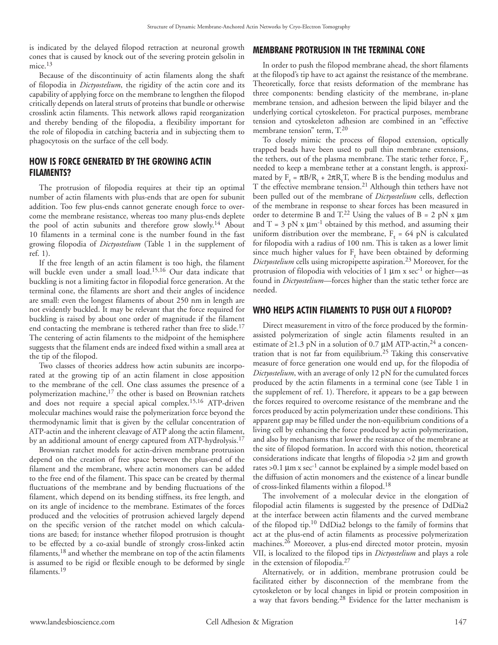is indicated by the delayed filopod retraction at neuronal growth cones that is caused by knock out of the severing protein gelsolin in mice. $13$ 

Because of the discontinuity of actin filaments along the shaft of filopodia in *Dictyostelium*, the rigidity of the actin core and its capability of applying force on the membrane to lengthen the filopod critically depends on lateral struts of proteins that bundle or otherwise crosslink actin filaments. This network allows rapid reorganization and thereby bending of the filopodia, a flexibility important for the role of filopodia in catching bacteria and in subjecting them to phagocytosis on the surface of the cell body.

## **How is Force Generated by the Growing Actin Filaments?**

The protrusion of filopodia requires at their tip an optimal number of actin filaments with plus-ends that are open for subunit addition. Too few plus-ends cannot generate enough force to overcome the membrane resistance, whereas too many plus-ends deplete the pool of actin subunits and therefore grow slowly.<sup>14</sup> About 10 filaments in a terminal cone is the number found in the fast growing filopodia of *Dictyostelium* (Table 1 in the supplement of ref. 1).

If the free length of an actin filament is too high, the filament will buckle even under a small load.15,16 Our data indicate that buckling is not a limiting factor in filopodial force generation. At the terminal cone, the filaments are short and their angles of incidence are small: even the longest filaments of about 250 nm in length are not evidently buckled. It may be relevant that the force required for buckling is raised by about one order of magnitude if the filament end contacting the membrane is tethered rather than free to slide.<sup>17</sup> The centering of actin filaments to the midpoint of the hemisphere suggests that the filament ends are indeed fixed within a small area at the tip of the filopod.

Two classes of theories address how actin subunits are incorporated at the growing tip of an actin filament in close apposition to the membrane of the cell. One class assumes the presence of a polymerization machine, $^{17}$  the other is based on Brownian ratchets and does not require a special apical complex.15,16 ATP-driven molecular machines would raise the polymerization force beyond the thermodynamic limit that is given by the cellular concentration of ATP-actin and the inherent cleavage of ATP along the actin filament, by an additional amount of energy captured from ATP-hydrolysis.<sup>17</sup>

Brownian ratchet models for actin-driven membrane protrusion depend on the creation of free space between the plus-end of the filament and the membrane, where actin monomers can be added to the free end of the filament. This space can be created by thermal fluctuations of the membrane and by bending fluctuations of the filament, which depend on its bending stiffness, its free length, and on its angle of incidence to the membrane. Estimates of the forces produced and the velocities of protrusion achieved largely depend on the specific version of the ratchet model on which calculations are based; for instance whether filopod protrusion is thought to be effected by a co-axial bundle of strongly cross-linked actin filaments,<sup>18</sup> and whether the membrane on top of the actin filaments is assumed to be rigid or flexible enough to be deformed by single filaments.19

#### **Membrane Protrusion in the Terminal Cone**

In order to push the filopod membrane ahead, the short filaments at the filopod's tip have to act against the resistance of the membrane. Theoretically, force that resists deformation of the membrane has three components: bending elasticity of the membrane, in-plane membrane tension, and adhesion between the lipid bilayer and the underlying cortical cytoskeleton. For practical purposes, membrane tension and cytoskeleton adhesion are combined in an "effective membrane tension" term, T.<sup>20</sup>

To closely mimic the process of filopod extension, optically trapped beads have been used to pull thin membrane extensions, the tethers, out of the plasma membrane. The static tether force,  $F_t$ , needed to keep a membrane tether at a constant length, is approximated by  $F_t = \pi B/R_t + 2\pi R_t T$ , where B is the bending modulus and T the effective membrane tension.<sup>21</sup> Although thin tethers have not been pulled out of the membrane of *Dictyostelium* cells, deflection of the membrane in response to shear forces has been measured in order to determine B and  $T^{22}$  Using the values of B = 2 pN x  $\mu$ m and  $T = 3$  pN x  $\mu$ m<sup>-1</sup> obtained by this method, and assuming their uniform distribution over the membrane,  $F_t = 64$  pN is calculated for filopodia with a radius of 100 nm. This is taken as a lower limit since much higher values for  $F_t$  have been obtained by deforming *Dictyostelium* cells using micropipette aspiration.23 Moreover, for the protrusion of filopodia with velocities of 1  $\mu$ m x sec<sup>-1</sup> or higher—as found in *Dictyostelium*—forces higher than the static tether force are needed.

#### **Who Helps Actin Filaments to Push Out a Filopod?**

Direct measurement in vitro of the force produced by the forminassisted polymerization of single actin filaments resulted in an estimate of  $\geq$ 1.3 pN in a solution of 0.7 µM ATP-actin,<sup>24</sup> a concentration that is not far from equilibrium.25 Taking this conservative measure of force generation one would end up, for the filopodia of *Dictyostelium*, with an average of only 12 pN for the cumulated forces produced by the actin filaments in a terminal cone (see Table 1 in the supplement of ref. 1). Therefore, it appears to be a gap between the forces required to overcome resistance of the membrane and the forces produced by actin polymerization under these conditions. This apparent gap may be filled under the non-equilibrium conditions of a living cell by enhancing the force produced by actin polymerization, and also by mechanisms that lower the resistance of the membrane at the site of filopod formation. In accord with this notion, theoretical considerations indicate that lengths of filopodia >2 µm and growth rates > 0.1  $\mu$ m x sec<sup>-1</sup> cannot be explained by a simple model based on the diffusion of actin monomers and the existence of a linear bundle of cross-linked filaments within a filopod.18

The involvement of a molecular device in the elongation of filopodial actin filaments is suggested by the presence of DdDia2 at the interface between actin filaments and the curved membrane of the filopod tip.10 DdDia2 belongs to the family of formins that act at the plus-end of actin filaments as processive polymerization machines.26 Moreover, a plus-end directed motor protein, myosin VII, is localized to the filopod tips in *Dictyostelium* and plays a role in the extension of filopodia.27

Alternatively, or in addition, membrane protrusion could be facilitated either by disconnection of the membrane from the cytoskeleton or by local changes in lipid or protein composition in a way that favors bending.28 Evidence for the latter mechanism is